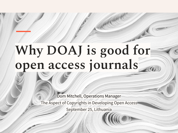# **Why DOAJ is good for open access journals**

Dom Mitchell, Operations Manager The Aspect of Copyrights in Developing Open Access September 25, Lithuania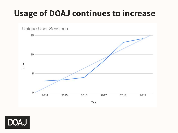### **Usage of DOAJ continues to increase**



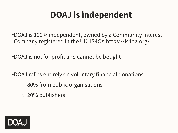# **DOAJ is independent**

- •DOAJ is 100% independent, owned by a Community Interest Company registered in the UK: IS4OA <https://is4oa.org/>
- •DOAJ is not for profit and cannot be bought
- •DOAJ relies entirely on voluntary financial donations
	- 80% from public organisations
	- 20% publishers

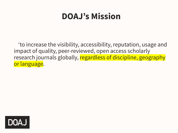#### **DOAJ's Mission**

'to increase the visibility, accessibility, reputation, usage and impact of quality, peer-reviewed, open access scholarly research journals globally, regardless of discipline, geography or language.

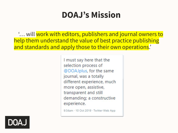#### **DOAJ's Mission**

**E... will work with editors, publishers and journal owners to** help them understand the value of best practice publishing and standards and apply those to their own operations.

> I must say here that the selection process of @DOAJplus, for the same journal, was a totally different experience, much more open, assistive, transparent and still demanding; a constructive experience.

9:34am - 10 Oct 2019 · Twitter Web App

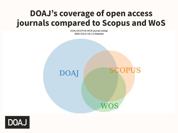#### **DOAJ's coverage of open access journals compared to Scopus and WoS**

DOAJ-SCOPUS-WOS journal overlap ISSN GOLD-OA 3.0 Bielefeld



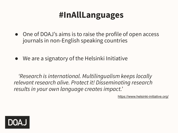#### **#InAllLanguages**

- One of DOAJ's aims is to raise the profile of open access journals in non-English speaking countries
- We are a signatory of the Helsinki Initiative

*'Research is international. Multilingualism keeps locally relevant research alive. Protect it! Disseminating research results in your own language creates impact.'*

<https://www.helsinki-initiative.org/>

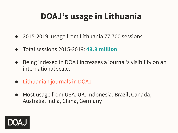# **DOAJ's usage in Lithuania**

- 2015-2019: usage from Lithuania 77,700 sessions
- Total sessions 2015-2019: **43.3 million**
- Being indexed in DOAJ increases a journal's visibility on an international scale.
- [Lithuanian journals in DOAJ](https://bit.ly/3csluR5)
- Most usage from USA, UK, Indonesia, Brazil, Canada, Australia, India, China, Germany

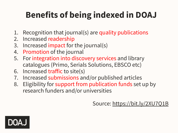# **Benefits of being indexed in DOAJ**

- 1. Recognition that journal(s) are quality publications
- 2. Increased readership
- 3. Increased impact for the journal(s)
- 4. Promotion of the journal
- 5. For integration into discovery services and library catalogues (Primo, Serials Solutions, EBSCO etc)
- 6. Increased traffic to site(s)
- 7. Increased submissions and/or published articles
- 8. Eligibility for support from publication funds set up by research funders and/or universities

Source: <https://bit.ly/2XU7Q1B>

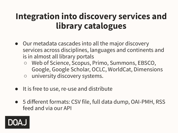#### **Integration into discovery services and library catalogues**

- Our metadata cascades into all the major discovery services across disciplines, languages and continents and is in almost all library portals
	- Web of Science, Scopus, Primo, Summons, EBSCO, Google, Google Scholar, OCLC, WorldCat, Dimensions
	- university discovery systems.
- It is free to use, re-use and distribute
- 5 different formats: CSV file, full data dump, OAI-PMH, RSS feed and via our API

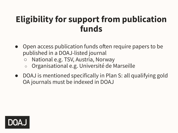#### **Eligibility for support from publication funds**

- Open access publication funds often require papers to be published in a DOAJ-listed journal
	- National e.g. TSV, Austria, Norway
	- Organisational e.g. Université de Marseille
- DOAJ is mentioned specifically in Plan S: all qualifying gold OA journals must be indexed in DOAJ